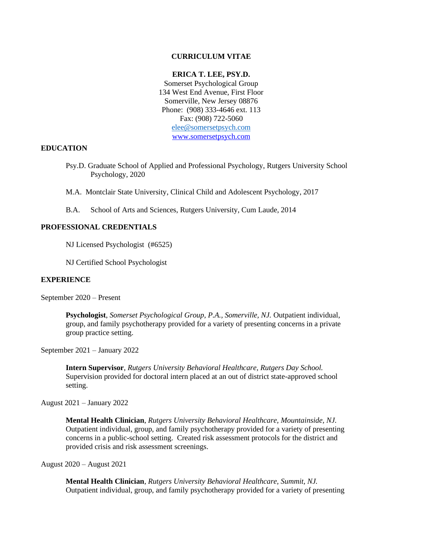## **CURRICULUM VITAE**

### **ERICA T. LEE, PSY.D.**

Somerset Psychological Group 134 West End Avenue, First Floor Somerville, New Jersey 08876 Phone: (908) 333-4646 ext. 113 Fax: (908) 722-5060 [elee@somersetpsych.com](mailto:elee@somersetpsych.com) [www.somersetpsych.com](http://www.somersetpsych.com/)

## **EDUCATION**

Psy.D. Graduate School of Applied and Professional Psychology, Rutgers University School Psychology, 2020

M.A. Montclair State University, Clinical Child and Adolescent Psychology, 2017

B.A. School of Arts and Sciences, Rutgers University, Cum Laude, 2014

# **PROFESSIONAL CREDENTIALS**

NJ Licensed Psychologist (#6525)

NJ Certified School Psychologist

#### **EXPERIENCE**

September 2020 – Present

**Psychologist**, *Somerset Psychological Group, P.A., Somerville, NJ.* Outpatient individual, group, and family psychotherapy provided for a variety of presenting concerns in a private group practice setting.

September 2021 – January 2022

**Intern Supervisor**, *Rutgers University Behavioral Healthcare, Rutgers Day School.* Supervision provided for doctoral intern placed at an out of district state-approved school setting.

August 2021 – January 2022

**Mental Health Clinician**, *Rutgers University Behavioral Healthcare, Mountainside, NJ.*  Outpatient individual, group, and family psychotherapy provided for a variety of presenting concerns in a public-school setting. Created risk assessment protocols for the district and provided crisis and risk assessment screenings.

August 2020 – August 2021

**Mental Health Clinician**, *Rutgers University Behavioral Healthcare, Summit, NJ.*  Outpatient individual, group, and family psychotherapy provided for a variety of presenting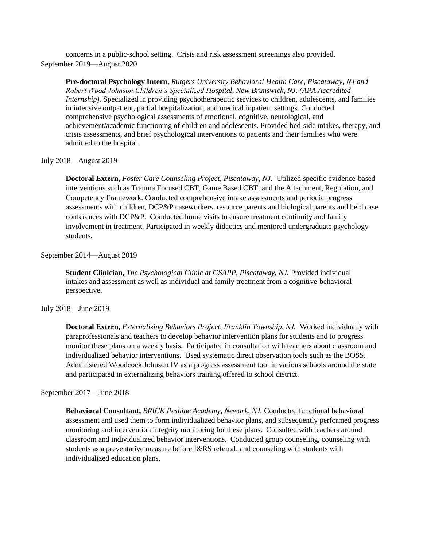concerns in a public-school setting. Crisis and risk assessment screenings also provided. September 2019—August 2020

**Pre-doctoral Psychology Intern,** *Rutgers University Behavioral Health Care, Piscataway, NJ and Robert Wood Johnson Children's Specialized Hospital, New Brunswick, NJ. (APA Accredited Internship).* Specialized in providing psychotherapeutic services to children, adolescents, and families in intensive outpatient, partial hospitalization, and medical inpatient settings. Conducted comprehensive psychological assessments of emotional, cognitive, neurological, and achievement/academic functioning of children and adolescents. Provided bed-side intakes, therapy, and crisis assessments, and brief psychological interventions to patients and their families who were admitted to the hospital.

### July 2018 – August 2019

**Doctoral Extern,** *Foster Care Counseling Project, Piscataway, NJ.* Utilized specific evidence-based interventions such as Trauma Focused CBT, Game Based CBT, and the Attachment, Regulation, and Competency Framework. Conducted comprehensive intake assessments and periodic progress assessments with children, DCP&P caseworkers, resource parents and biological parents and held case conferences with DCP&P. Conducted home visits to ensure treatment continuity and family involvement in treatment. Participated in weekly didactics and mentored undergraduate psychology students.

#### September 2014—August 2019

**Student Clinician,** *The Psychological Clinic at GSAPP, Piscataway, NJ.* Provided individual intakes and assessment as well as individual and family treatment from a cognitive-behavioral perspective.

#### July 2018 – June 2019

**Doctoral Extern,** *Externalizing Behaviors Project, Franklin Township, NJ.* Worked individually with paraprofessionals and teachers to develop behavior intervention plans for students and to progress monitor these plans on a weekly basis. Participated in consultation with teachers about classroom and individualized behavior interventions. Used systematic direct observation tools such as the BOSS. Administered Woodcock Johnson IV as a progress assessment tool in various schools around the state and participated in externalizing behaviors training offered to school district.

#### September 2017 – June 2018

**Behavioral Consultant,** *BRICK Peshine Academy, Newark, NJ.* Conducted functional behavioral assessment and used them to form individualized behavior plans, and subsequently performed progress monitoring and intervention integrity monitoring for these plans. Consulted with teachers around classroom and individualized behavior interventions. Conducted group counseling, counseling with students as a preventative measure before I&RS referral, and counseling with students with individualized education plans.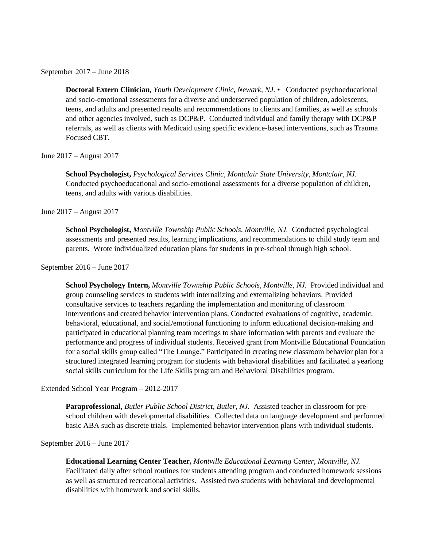September 2017 – June 2018

**Doctoral Extern Clinician,** *Youth Development Clinic, Newark, NJ.* • Conducted psychoeducational and socio-emotional assessments for a diverse and underserved population of children, adolescents, teens, and adults and presented results and recommendations to clients and families, as well as schools and other agencies involved, such as DCP&P. Conducted individual and family therapy with DCP&P referrals, as well as clients with Medicaid using specific evidence-based interventions, such as Trauma Focused CBT.

June 2017 – August 2017

**School Psychologist,** *Psychological Services Clinic, Montclair State University, Montclair, NJ.*  Conducted psychoeducational and socio-emotional assessments for a diverse population of children, teens, and adults with various disabilities.

June 2017 – August 2017

**School Psychologist,** *Montville Township Public Schools, Montville, NJ.* Conducted psychological assessments and presented results, learning implications, and recommendations to child study team and parents. Wrote individualized education plans for students in pre-school through high school.

September 2016 – June 2017

**School Psychology Intern,** *Montville Township Public Schools, Montville, NJ.* Provided individual and group counseling services to students with internalizing and externalizing behaviors. Provided consultative services to teachers regarding the implementation and monitoring of classroom interventions and created behavior intervention plans. Conducted evaluations of cognitive, academic, behavioral, educational, and social/emotional functioning to inform educational decision-making and participated in educational planning team meetings to share information with parents and evaluate the performance and progress of individual students. Received grant from Montville Educational Foundation for a social skills group called "The Lounge." Participated in creating new classroom behavior plan for a structured integrated learning program for students with behavioral disabilities and facilitated a yearlong social skills curriculum for the Life Skills program and Behavioral Disabilities program.

Extended School Year Program – 2012-2017

**Paraprofessional,** *Butler Public School District, Butler, NJ.* Assisted teacher in classroom for preschool children with developmental disabilities. Collected data on language development and performed basic ABA such as discrete trials. Implemented behavior intervention plans with individual students.

September 2016 – June 2017

**Educational Learning Center Teacher,** *Montville Educational Learning Center, Montville, NJ.*  Facilitated daily after school routines for students attending program and conducted homework sessions as well as structured recreational activities. Assisted two students with behavioral and developmental disabilities with homework and social skills.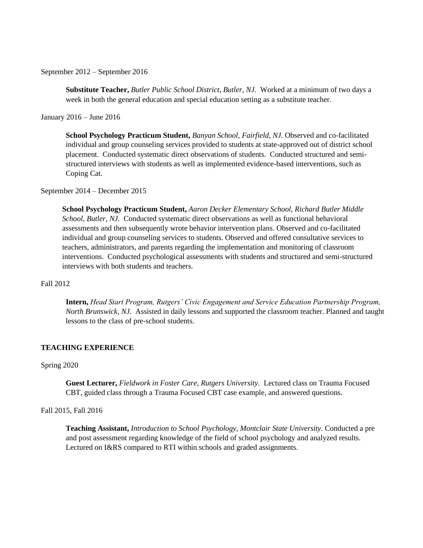September 2012 – September 2016

**Substitute Teacher,** *Butler Public School District, Butler, NJ.* Worked at a minimum of two days a week in both the general education and special education setting as a substitute teacher.

January 2016 – June 2016

**School Psychology Practicum Student,** *Banyan School, Fairfield, NJ.* Observed and co-facilitated individual and group counseling services provided to students at state-approved out of district school placement. Conducted systematic direct observations of students. Conducted structured and semistructured interviews with students as well as implemented evidence-based interventions, such as Coping Cat.

September 2014 – December 2015

**School Psychology Practicum Student,** *Aaron Decker Elementary School, Richard Butler Middle School, Butler, NJ.* Conducted systematic direct observations as well as functional behavioral assessments and then subsequently wrote behavior intervention plans. Observed and co-facilitated individual and group counseling services to students. Observed and offered consultative services to teachers, administrators, and parents regarding the implementation and monitoring of classroom interventions. Conducted psychological assessments with students and structured and semi-structured interviews with both students and teachers.

### Fall 2012

**Intern,** *Head Start Program, Rutgers' Civic Engagement and Service Education Partnership Program, North Brunswick, NJ.* Assisted in daily lessons and supported the classroom teacher. Planned and taught lessons to the class of pre-school students.

# **TEACHING EXPERIENCE**

#### Spring 2020

**Guest Lecturer,** *Fieldwork in Foster Care, Rutgers University.* Lectured class on Trauma Focused CBT, guided class through a Trauma Focused CBT case example, and answered questions.

## Fall 2015, Fall 2016

**Teaching Assistant,** *Introduction to School Psychology, Montclair State University.* Conducted a pre and post assessment regarding knowledge of the field of school psychology and analyzed results. Lectured on I&RS compared to RTI within schools and graded assignments.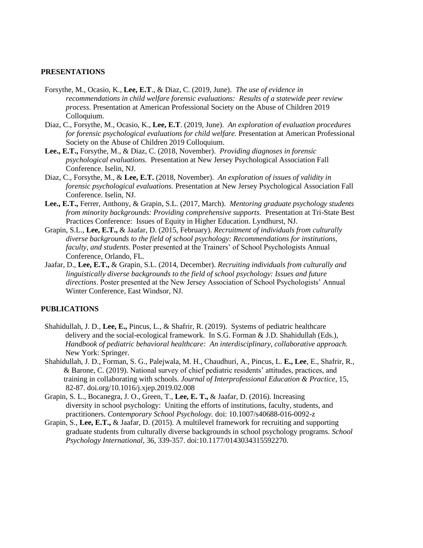## **PRESENTATIONS**

- Forsythe, M., Ocasio, K., **Lee, E.T**., & Diaz, C. (2019, June). *The use of evidence in recommendations in child welfare forensic evaluations: Results of a statewide peer review process.* Presentation at American Professional Society on the Abuse of Children 2019 Colloquium.
- Diaz, C., Forsythe, M., Ocasio, K., **Lee, E.T**. (2019, June). *An exploration of evaluation procedures for forensic psychological evaluations for child welfare.* Presentation at American Professional Society on the Abuse of Children 2019 Colloquium.
- **Lee., E.T.,** Forsythe, M., & Diaz, C. (2018, November). *Providing diagnoses in forensic psychological evaluations.* Presentation at New Jersey Psychological Association Fall Conference. Iselin, NJ.
- Diaz, C., Forsythe, M., & **Lee, E.T.** (2018, November). *An exploration of issues of validity in forensic psychological evaluations.* Presentation at New Jersey Psychological Association Fall Conference. Iselin, NJ.
- **Lee., E.T.,** Ferrer, Anthony, & Grapin, S.L. (2017, March). *Mentoring graduate psychology students from minority backgrounds: Providing comprehensive supports.* Presentation at Tri-State Best Practices Conference: Issues of Equity in Higher Education. Lyndhurst, NJ.
- Grapin, S.L., **Lee, E.T.,** & Jaafar, D. (2015, February). *Recruitment of individuals from culturally diverse backgrounds to the field of school psychology: Recommendations for institutions, faculty, and students.* Poster presented at the Trainers' of School Psychologists Annual Conference, Orlando, FL.
- Jaafar, D., **Lee, E.T.,** & Grapin, S.L. (2014, December). *Recruiting individuals from culturally and linguistically diverse backgrounds to the field of school psychology: Issues and future directions*. Poster presented at the New Jersey Association of School Psychologists' Annual Winter Conference, East Windsor, NJ.

## **PUBLICATIONS**

- Shahidullah, J. D., **Lee, E.,** Pincus, L., & Shafrir, R. (2019). Systems of pediatric healthcare delivery and the social-ecological framework. In S.G. Forman & J.D. Shahidullah (Eds.), *Handbook of pediatric behavioral healthcare: An interdisciplinary, collaborative approach.*  New York: Springer.
- Shahidullah, J. D., Forman, S. G., Palejwala, M. H., Chaudhuri, A., Pincus, L. **E., Lee**, E., Shafrir, R., & Barone, C. (2019). National survey of chief pediatric residents' attitudes, practices, and training in collaborating with schools. *Journal of Interprofessional Education & Practice*, 15, 82-87. doi.org/10.1016/j.xjep.2019.02.008
- Grapin, S. L., Bocanegra, J. O., Green, T., **Lee, E. T.,** & Jaafar, D. (2016). Increasing diversity in school psychology: Uniting the efforts of institutions, faculty, students, and practitioners. *Contemporary School Psychology.* doi: 10.1007/s40688-016-0092-z
- Grapin, S., **Lee, E.T.,** & Jaafar, D. (2015). A multilevel framework for recruiting and supporting graduate students from culturally diverse backgrounds in school psychology programs. *School Psychology International*, 36, 339-357. doi:10.1177/0143034315592270.